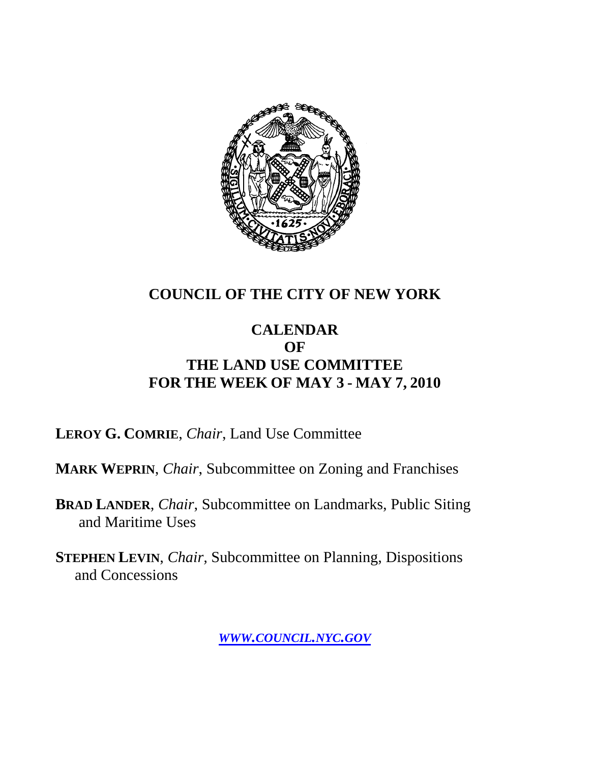

## **COUNCIL OF THE CITY OF NEW YORK**

### **CALENDAR OF THE LAND USE COMMITTEE FOR THE WEEK OF MAY 3 - MAY 7, 2010**

**LEROY G. COMRIE**, *Chair*, Land Use Committee

**MARK WEPRIN**, *Chair*, Subcommittee on Zoning and Franchises

**BRAD LANDER**, *Chair*, Subcommittee on Landmarks, Public Siting and Maritime Uses

**STEPHEN LEVIN**, *Chair,* Subcommittee on Planning, Dispositions and Concessions

*WWW.COUNCIL.NYC.GOV*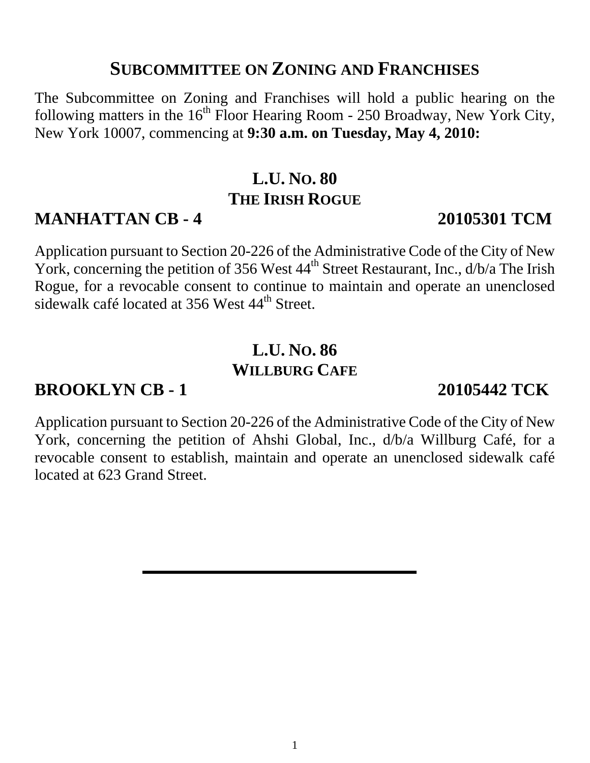# **SUBCOMMITTEE ON ZONING AND FRANCHISES**

The Subcommittee on Zoning and Franchises will hold a public hearing on the following matters in the  $16<sup>th</sup>$  Floor Hearing Room - 250 Broadway, New York City, New York 10007, commencing at **9:30 a.m. on Tuesday, May 4, 2010:** 

# **L.U. NO. 80 THE IRISH ROGUE**

# **MANHATTAN CB - 4 20105301 TCM**

Application pursuant to Section 20-226 of the Administrative Code of the City of New York, concerning the petition of 356 West  $44<sup>th</sup>$  Street Restaurant, Inc.,  $d/b/a$  The Irish Rogue, for a revocable consent to continue to maintain and operate an unenclosed sidewalk café located at 356 West 44<sup>th</sup> Street.

# **L.U. NO. 86 WILLBURG CAFE**

# **BROOKLYN CB - 1 20105442 TCK**

Application pursuant to Section 20-226 of the Administrative Code of the City of New York, concerning the petition of Ahshi Global, Inc., d/b/a Willburg Café, for a revocable consent to establish, maintain and operate an unenclosed sidewalk café located at 623 Grand Street.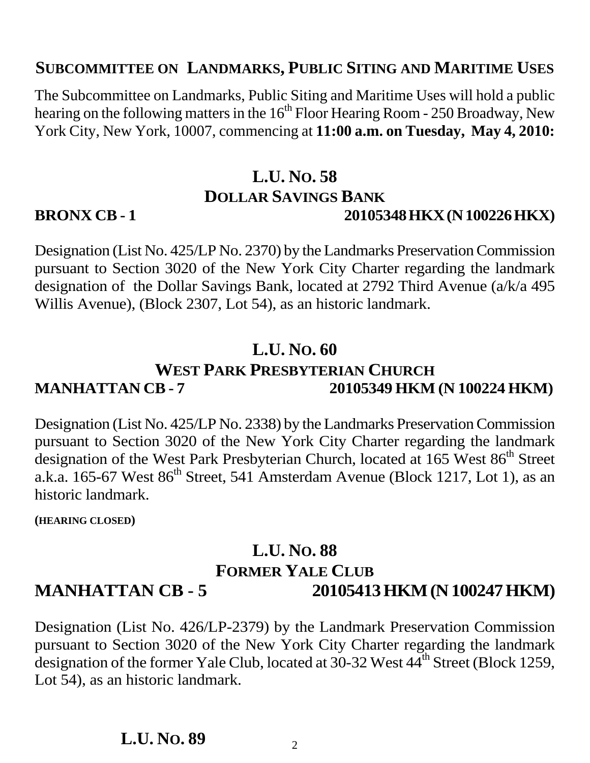#### **SUBCOMMITTEE ON LANDMARKS, PUBLIC SITING AND MARITIME USES**

The Subcommittee on Landmarks, Public Siting and Maritime Uses will hold a public hearing on the following matters in the  $16<sup>th</sup>$  Floor Hearing Room - 250 Broadway, New York City, New York, 10007, commencing at **11:00 a.m. on Tuesday, May 4, 2010:**

#### **L.U. NO. 58 DOLLAR SAVINGS BANK BRONX CB - 1** 20105348 HKX (N 100226 HKX)

Designation (List No. 425/LP No. 2370) by the Landmarks Preservation Commission pursuant to Section 3020 of the New York City Charter regarding the landmark designation of the Dollar Savings Bank, located at 2792 Third Avenue (a/k/a 495 Willis Avenue), (Block 2307, Lot 54), as an historic landmark.

#### **L.U. NO. 60**

## **WEST PARK PRESBYTERIAN CHURCH MANHATTAN CB - 7 20105349 HKM (N 100224 HKM)**

Designation (List No. 425/LP No. 2338) by the Landmarks Preservation Commission pursuant to Section 3020 of the New York City Charter regarding the landmark designation of the West Park Presbyterian Church, located at 165 West 86<sup>th</sup> Street a.k.a. 165-67 West  $86<sup>th</sup>$  Street, 541 Amsterdam Avenue (Block 1217, Lot 1), as an historic landmark.

**(HEARING CLOSED)** 

## **L.U. NO. 88 FORMER YALE CLUB MANHATTAN CB - 5 20105413 HKM (N 100247 HKM)**

Designation (List No. 426/LP-2379) by the Landmark Preservation Commission pursuant to Section 3020 of the New York City Charter regarding the landmark designation of the former Yale Club, located at  $30-32$  West  $44<sup>th</sup>$  Street (Block 1259, Lot 54), as an historic landmark.

#### **L.U. NO. 89**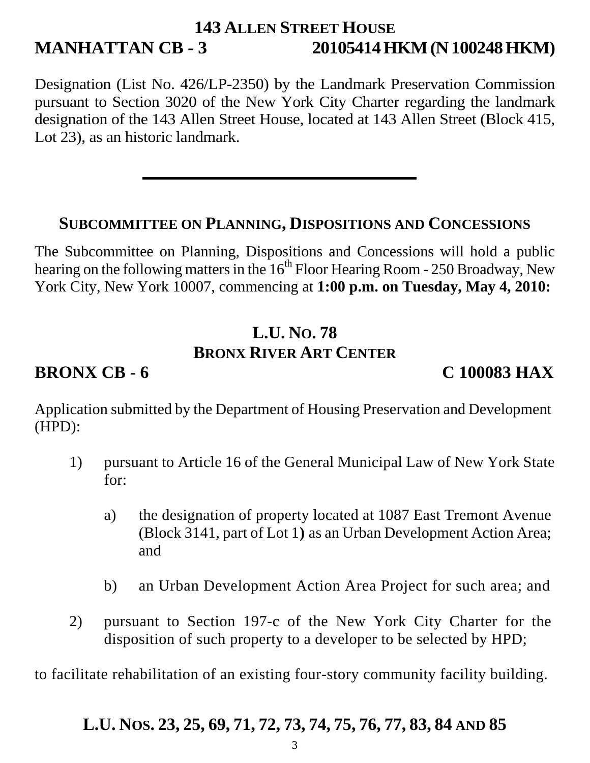## **143 ALLEN STREET HOUSE MANHATTAN CB - 3 20105414 HKM (N 100248 HKM)**

Designation (List No. 426/LP-2350) by the Landmark Preservation Commission pursuant to Section 3020 of the New York City Charter regarding the landmark designation of the 143 Allen Street House, located at 143 Allen Street (Block 415, Lot 23), as an historic landmark.

#### **SUBCOMMITTEE ON PLANNING, DISPOSITIONS AND CONCESSIONS**

The Subcommittee on Planning, Dispositions and Concessions will hold a public hearing on the following matters in the  $16<sup>th</sup>$  Floor Hearing Room - 250 Broadway, New York City, New York 10007, commencing at **1:00 p.m. on Tuesday, May 4, 2010:** 

# **L.U. NO. 78 BRONX RIVER ART CENTER**

**BRONX CB - 6 C 100083 HAX** 

Application submitted by the Department of Housing Preservation and Development (HPD):

- 1) pursuant to Article 16 of the General Municipal Law of New York State for:
	- a) the designation of property located at 1087 East Tremont Avenue (Block 3141, part of Lot 1**)** as an Urban Development Action Area; and
	- b) an Urban Development Action Area Project for such area; and
- 2) pursuant to Section 197-c of the New York City Charter for the disposition of such property to a developer to be selected by HPD;

to facilitate rehabilitation of an existing four-story community facility building.

## **L.U. NOS. 23, 25, 69, 71, 72, 73, 74, 75, 76, 77, 83, 84 AND 85**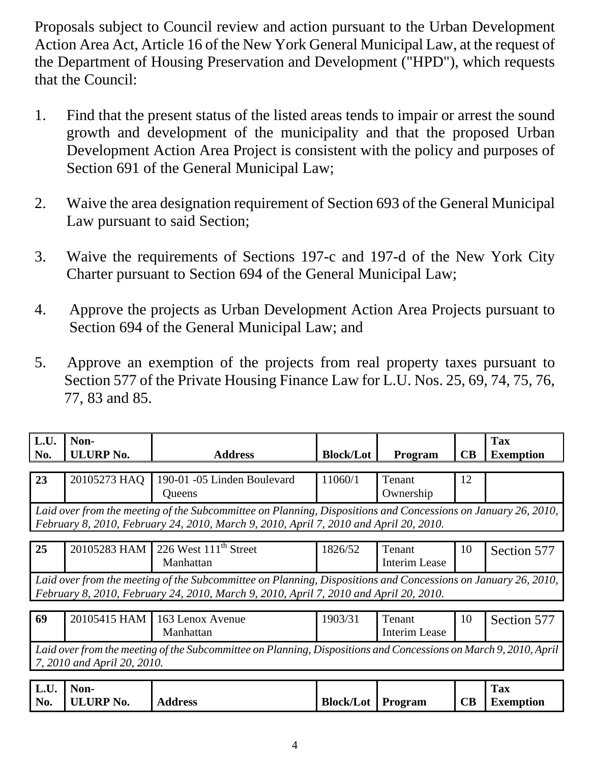Proposals subject to Council review and action pursuant to the Urban Development Action Area Act, Article 16 of the New York General Municipal Law, at the request of the Department of Housing Preservation and Development ("HPD"), which requests that the Council:

- 1. Find that the present status of the listed areas tends to impair or arrest the sound growth and development of the municipality and that the proposed Urban Development Action Area Project is consistent with the policy and purposes of Section 691 of the General Municipal Law;
- 2. Waive the area designation requirement of Section 693 of the General Municipal Law pursuant to said Section;
- 3. Waive the requirements of Sections 197-c and 197-d of the New York City Charter pursuant to Section 694 of the General Municipal Law;
- 4. Approve the projects as Urban Development Action Area Projects pursuant to Section 694 of the General Municipal Law; and
- 5. Approve an exemption of the projects from real property taxes pursuant to Section 577 of the Private Housing Finance Law for L.U. Nos. 25, 69, 74, 75, 76, 77, 83 and 85.

| $\vert$ L.U.<br>No. | Non-<br><b>ULURP No.</b>                                                                                                                                                                               | <b>Address</b>                                 | <b>Block/Lot</b> | Program             | CB | Tax<br><b>Exemption</b> |  |
|---------------------|--------------------------------------------------------------------------------------------------------------------------------------------------------------------------------------------------------|------------------------------------------------|------------------|---------------------|----|-------------------------|--|
|                     |                                                                                                                                                                                                        |                                                |                  |                     |    |                         |  |
| 23                  | 20105273 HAQ                                                                                                                                                                                           | 190-01 -05 Linden Boulevard<br>Queens          | 11060/1          | Tenant<br>Ownership | 12 |                         |  |
|                     | Laid over from the meeting of the Subcommittee on Planning, Dispositions and Concessions on January 26, 2010,<br>February 8, 2010, February 24, 2010, March 9, 2010, April 7, 2010 and April 20, 2010. |                                                |                  |                     |    |                         |  |
| 25                  |                                                                                                                                                                                                        | 20105283 HAM 226 West 111 <sup>th</sup> Street | 1826/52          | Tenant              | 10 | Section 577             |  |

| Laid over from the meeting of the Subcommittee on Planning, Dispositions and Concessions on January 26, 2010, |  |  |
|---------------------------------------------------------------------------------------------------------------|--|--|
| February 8, 2010, February 24, 2010, March 9, 2010, April 7, 2010 and April 20, 2010.                         |  |  |

 $\mathsf{l}$ 

Interim Lease

Manhattan

| 69 |                             | $20105415$ HAM   163 Lenox Avenue<br>Manhattan                                                                   | 1903/31 | Tenant<br>Interim Lease | Section 577 |
|----|-----------------------------|------------------------------------------------------------------------------------------------------------------|---------|-------------------------|-------------|
|    | 7, 2010 and April 20, 2010. | Laid over from the meeting of the Subcommittee on Planning, Dispositions and Concessions on March 9, 2010, April |         |                         |             |

| $\mathbf{L}$ .U. | Non-             |                |                  |         |                      | <b>Tax</b>       |
|------------------|------------------|----------------|------------------|---------|----------------------|------------------|
| No.              | <b>ULURP No.</b> | <b>Address</b> | <b>Block/Lot</b> | Program | $\mathbf C\mathbf B$ | <b>Exemption</b> |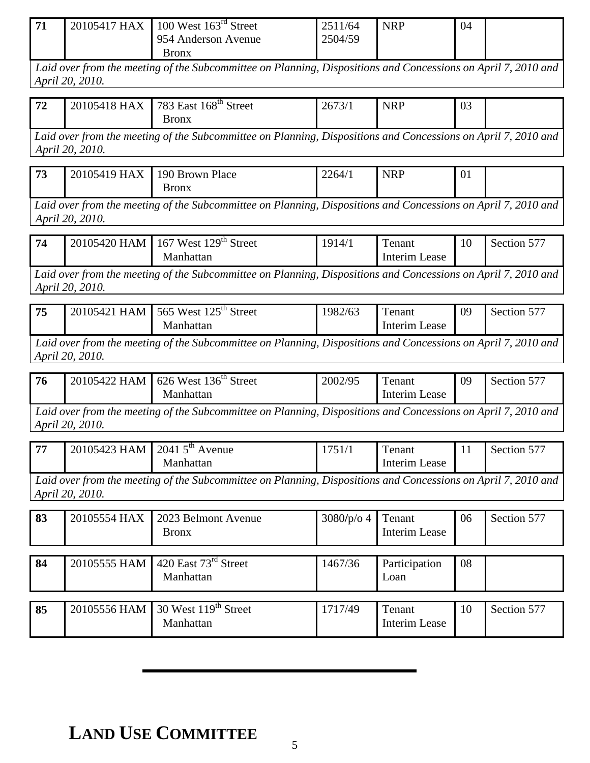| 71 | 20105417 HAX | 100 West $163^{\text{rd}}$ Street<br>954 Anderson Avenue | 2511/64<br>2504/59 | <b>NRP</b> | 04 |  |
|----|--------------|----------------------------------------------------------|--------------------|------------|----|--|
|    |              | Bronx                                                    |                    |            |    |  |

*Laid over from the meeting of the Subcommittee on Planning, Dispositions and Concessions on April 7, 2010 and April 20, 2010.*

| 72<br>— 1 ∠ | 20105418 HAX | 783 East $168th$ Street | 2673/1<br>13/1 | <b>NRP</b><br>the contract of the contract of | $\Omega$<br>UJ |  |
|-------------|--------------|-------------------------|----------------|-----------------------------------------------|----------------|--|
|             |              | Bronx                   |                |                                               |                |  |

*Laid over from the meeting of the Subcommittee on Planning, Dispositions and Concessions on April 7, 2010 and April 20, 2010.*

| 72<br>ر ر | <b>HAX</b><br>20105419 | 190 Brown Place<br>Bronx | 2264/1 | NRF<br>11 V 1 | 0 <sub>1</sub> |  |
|-----------|------------------------|--------------------------|--------|---------------|----------------|--|
|-----------|------------------------|--------------------------|--------|---------------|----------------|--|

*Laid over from the meeting of the Subcommittee on Planning, Dispositions and Concessions on April 7, 2010 and April 20, 2010.*

| Manhattan<br>Interim Lease | West 129 <sup>th</sup> Street<br>74<br>20105420 HAM<br>$\sim$<br>1914/1<br>167<br>enant<br>Section $5/$ |  |
|----------------------------|---------------------------------------------------------------------------------------------------------|--|
|----------------------------|---------------------------------------------------------------------------------------------------------|--|

*Laid over from the meeting of the Subcommittee on Planning, Dispositions and Concessions on April 7, 2010 and April 20, 2010.*

| 75 | 20105421 HAM 565 West $125^{th}$ Street                                                                       | 1982/63 | Tenant        | -09 | Section 577 |
|----|---------------------------------------------------------------------------------------------------------------|---------|---------------|-----|-------------|
|    | Manhattan                                                                                                     |         | Interim Lease |     |             |
|    | Laid over from the meeting of the Subcommittee on Planning, Dispositions and Concessions on April 7, 2010 and |         |               |     |             |

*April 20, 2010.*

| 176 | 20105422 HAM 626 West $136^{\text{th}}$ Street<br>Manhattan                                                   | 2002/95 | Tenant<br>Interim Lease | 09 | Section 577 |
|-----|---------------------------------------------------------------------------------------------------------------|---------|-------------------------|----|-------------|
|     | Laid over from the meeting of the Subcommittee on Planning, Dispositions and Concessions on April 7, 2010 and |         |                         |    |             |

*April 20, 2010.*

| 177 | 20105423 HAM 2041 5 <sup>th</sup> Avenue<br>Manhattan                                                                 | 1751/1 | Tenant<br>Interim Lease | Section 577 |
|-----|-----------------------------------------------------------------------------------------------------------------------|--------|-------------------------|-------------|
|     | Laid over from the meeting of the Subcommittee on Planning, Dispositions and Concessions on April 7, 2010 and $\vert$ |        |                         |             |

*April 20, 2010.*

| 83 | 20105554 HAX | 2023 Belmont Avenue<br><b>Bronx</b>           | 3080/p/o 4 | Tenant<br>Interim Lease        | 06 | Section 577 |
|----|--------------|-----------------------------------------------|------------|--------------------------------|----|-------------|
| 84 | 20105555 HAM | 420 East $73rd$ Street<br>Manhattan           | 1467/36    | Participation<br>Loan          | 08 |             |
| 85 | 20105556 HAM | 30 West 119 <sup>th</sup> Street<br>Manhattan | 1717/49    | Tenant<br><b>Interim Lease</b> | 10 | Section 577 |

# **LAND USE COMMITTEE**